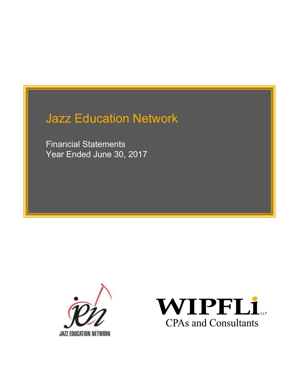Financial Statements Year Ended June 30, 2017



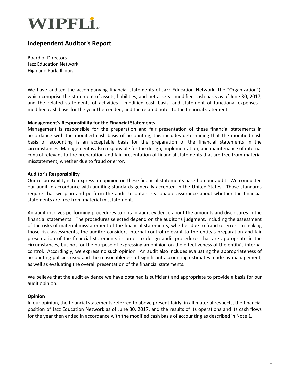

# **Independent Auditor's Report**

Board of Directors Jazz Education Network Highland Park, Illinois

We have audited the accompanying financial statements of Jazz Education Network (the "Organization"), which comprise the statement of assets, liabilities, and net assets - modified cash basis as of June 30, 2017, and the related statements of activities - modified cash basis, and statement of functional expenses modified cash basis for the year then ended, and the related notes to the financial statements.

#### **Management's Responsibility for the Financial Statements**

Management is responsible for the preparation and fair presentation of these financial statements in accordance with the modified cash basis of accounting; this includes determining that the modified cash basis of accounting is an acceptable basis for the preparation of the financial statements in the circumstances. Management is also responsible for the design, implementation, and maintenance of internal control relevant to the preparation and fair presentation of financial statements that are free from material misstatement, whether due to fraud or error.

#### **Auditor's Responsibility**

Our responsibility is to express an opinion on these financial statements based on our audit. We conducted our audit in accordance with auditing standards generally accepted in the United States. Those standards require that we plan and perform the audit to obtain reasonable assurance about whether the financial statements are free from material misstatement.

An audit involves performing procedures to obtain audit evidence about the amounts and disclosures in the financial statements. The procedures selected depend on the auditor's judgment, including the assessment of the risks of material misstatement of the financial statements, whether due to fraud or error. In making those risk assessments, the auditor considers internal control relevant to the entity's preparation and fair presentation of the financial statements in order to design audit procedures that are appropriate in the circumstances, but not for the purpose of expressing an opinion on the effectiveness of the entity's internal control. Accordingly, we express no such opinion. An audit also includes evaluating the appropriateness of accounting policies used and the reasonableness of significant accounting estimates made by management, as well as evaluating the overall presentation of the financial statements.

We believe that the audit evidence we have obtained is sufficient and appropriate to provide a basis for our audit opinion.

#### **Opinion**

In our opinion, the financial statements referred to above present fairly, in all material respects, the financial position of Jazz Education Network as of June 30, 2017, and the results of its operations and its cash flows for the year then ended in accordance with the modified cash basis of accounting as described in Note 1.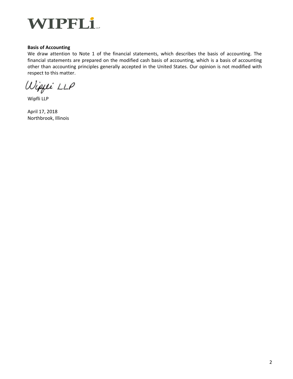

#### **Basis of Accounting**

We draw attention to Note 1 of the financial statements, which describes the basis of accounting. The financial statements are prepared on the modified cash basis of accounting, which is a basis of accounting other than accounting principles generally accepted in the United States. Our opinion is not modified with respect to this matter.

Wippei LLP

Wipfli LLP

April 17, 2018 Northbrook, Illinois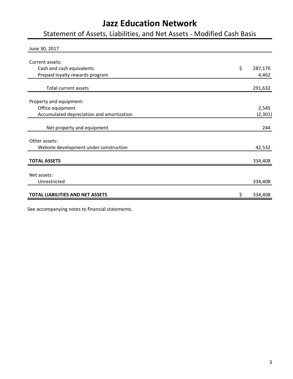Statement of Assets, Liabilities, and Net Assets - Modified Cash Basis

#### June 30, 2017

| Current assets:                           |               |
|-------------------------------------------|---------------|
| Cash and cash equivalents                 | \$<br>287,170 |
| Prepaid loyalty rewards program           | 4,462         |
|                                           |               |
| Total current assets                      | 291,632       |
|                                           |               |
| Property and equipment:                   |               |
| Office equipment                          | 2,545         |
| Accumulated depreciation and amortization | (2, 301)      |
|                                           |               |
| Net property and equipment                | 244           |
|                                           |               |
| Other assets:                             |               |
| Website development under construction    | 42,532        |
|                                           |               |
| <b>TOTAL ASSETS</b>                       | 334,408       |
|                                           |               |
| Net assets:                               |               |
| Unrestricted                              | 334,408       |
|                                           |               |
| <b>TOTAL LIABILITIES AND NET ASSETS</b>   | \$<br>334,408 |

See accompanying notes to financial statements.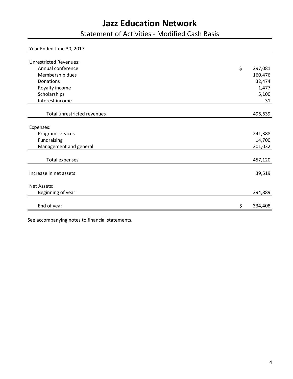Statement of Activities - Modified Cash Basis

| Year Ended June 30, 2017      |               |
|-------------------------------|---------------|
|                               |               |
| <b>Unrestricted Revenues:</b> |               |
| Annual conference             | \$<br>297,081 |
| Membership dues               | 160,476       |
| Donations                     | 32,474        |
| Royalty income                | 1,477         |
| Scholarships                  | 5,100         |
| Interest income               | 31            |
|                               |               |
| Total unrestricted revenues   | 496,639       |
|                               |               |
| Expenses:                     |               |
| Program services              | 241,388       |
| Fundraising                   | 14,700        |
| Management and general        | 201,032       |
|                               |               |
| <b>Total expenses</b>         | 457,120       |
|                               |               |
| Increase in net assets        | 39,519        |
|                               |               |
| Net Assets:                   |               |
| Beginning of year             | 294,889       |
| End of year                   | 334,408<br>S  |
|                               |               |

See accompanying notes to financial statements.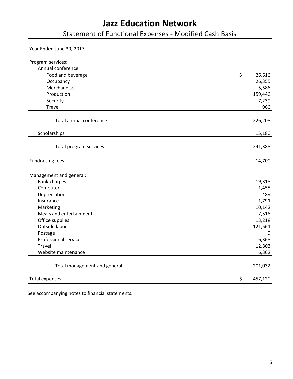Statement of Functional Expenses - Modified Cash Basis

| Year Ended June 30, 2017                |                  |
|-----------------------------------------|------------------|
|                                         |                  |
| Program services:<br>Annual conference: |                  |
|                                         | \$<br>26,616     |
| Food and beverage                       |                  |
| Occupancy<br>Merchandise                | 26,355           |
| Production                              | 5,586<br>159,446 |
|                                         |                  |
| Security<br>Travel                      | 7,239<br>966     |
|                                         |                  |
| Total annual conference                 | 226,208          |
| Scholarships                            | 15,180           |
| Total program services                  | 241,388          |
|                                         |                  |
| <b>Fundraising fees</b>                 | 14,700           |
|                                         |                  |
| Management and general:                 |                  |
| <b>Bank charges</b>                     | 19,318           |
| Computer                                | 1,455            |
| Depreciation                            | 489              |
| Insurance                               | 1,791            |
| Marketing                               | 10,142           |
| Meals and entertainment                 | 7,516            |
| Office supplies                         | 13,218           |
| Outside labor                           | 121,561          |
| Postage                                 | 9                |
| <b>Professional services</b>            | 6,368            |
| <b>Travel</b>                           | 12,803           |
| Website maintenance                     | 6,362            |
| Total management and general            | 201,032          |
| <b>Total expenses</b>                   | \$<br>457,120    |

See accompanying notes to financial statements.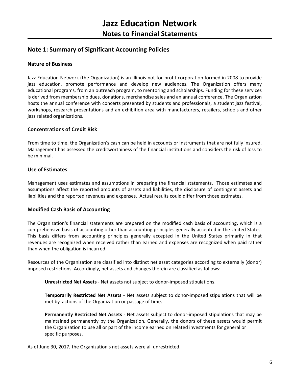# **Note 1: Summary of Significant Accounting Policies**

#### **Nature of Business**

Jazz Education Network (the Organization) is an Illinois not-for-profit corporation formed in 2008 to provide jazz education, promote performance and develop new audiences. The Organization offers many educational programs, from an outreach program, to mentoring and scholarships. Funding for these services is derived from membership dues, donations, merchandise sales and an annual conference. The Organization hosts the annual conference with concerts presented by students and professionals, a student jazz festival, workshops, research presentations and an exhibition area with manufacturers, retailers, schools and other jazz related organizations.

#### **Concentrations of Credit Risk**

From time to time, the Organization's cash can be held in accounts or instruments that are not fully insured. Management has assessed the creditworthiness of the financial institutions and considers the risk of loss to be minimal.

#### **Use of Estimates**

Management uses estimates and assumptions in preparing the financial statements. Those estimates and assumptions affect the reported amounts of assets and liabilities, the disclosure of contingent assets and liabilities and the reported revenues and expenses. Actual results could differ from those estimates.

#### **Modified Cash Basis of Accounting**

The Organization's financial statements are prepared on the modified cash basis of accounting, which is a comprehensive basis of accounting other than accounting principles generally accepted in the United States. This basis differs from accounting principles generally accepted in the United States primarily in that revenues are recognized when received rather than earned and expenses are recognized when paid rather than when the obligation is incurred.

Resources of the Organization are classified into distinct net asset categories according to externally (donor) imposed restrictions. Accordingly, net assets and changes therein are classified as follows:

**Unrestricted Net Assets** - Net assets not subject to donor-imposed stipulations.

**Temporarily Restricted Net Assets** - Net assets subject to donor-imposed stipulations that will be met by actions of the Organization or passage of time.

**Permanently Restricted Net Assets** - Net assets subject to donor-imposed stipulations that may be maintained permanently by the Organization. Generally, the donors of these assets would permit the Organization to use all or part of the income earned on related investments for general or specific purposes.

As of June 30, 2017, the Organization's net assets were all unrestricted.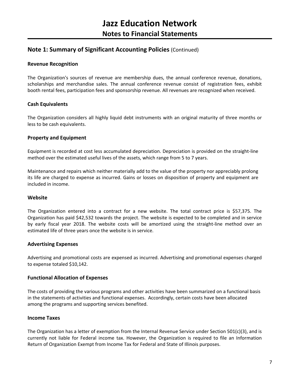### **Note 1: Summary of Significant Accounting Policies** (Continued)

#### **Revenue Recognition**

The Organization's sources of revenue are membership dues, the annual conference revenue, donations, scholarships and merchandise sales. The annual conference revenue consist of registration fees, exhibit booth rental fees, participation fees and sponsorship revenue. All revenues are recognized when received.

#### **Cash Equivalents**

The Organization considers all highly liquid debt instruments with an original maturity of three months or less to be cash equivalents.

#### **Property and Equipment**

Equipment is recorded at cost less accumulated depreciation. Depreciation is provided on the straight-line method over the estimated useful lives of the assets, which range from 5 to 7 years.

Maintenance and repairs which neither materially add to the value of the property nor appreciably prolong its life are charged to expense as incurred. Gains or losses on disposition of property and equipment are included in income.

#### **Website**

The Organization entered into a contract for a new website. The total contract price is \$57,375. The Organization has paid \$42,532 towards the project. The website is expected to be completed and in service by early fiscal year 2018. The website costs will be amortized using the straight-line method over an estimated life of three years once the website is in service.

#### **Advertising Expenses**

Advertising and promotional costs are expensed as incurred. Advertising and promotional expenses charged to expense totaled \$10,142.

#### **Functional Allocation of Expenses**

The costs of providing the various programs and other activities have been summarized on a functional basis in the statements of activities and functional expenses. Accordingly, certain costs have been allocated among the programs and supporting services benefited.

#### **Income Taxes**

The Organization has a letter of exemption from the Internal Revenue Service under Section 501(c)(3), and is currently not liable for Federal income tax. However, the Organization is required to file an Information Return of Organization Exempt from Income Tax for Federal and State of Illinois purposes.